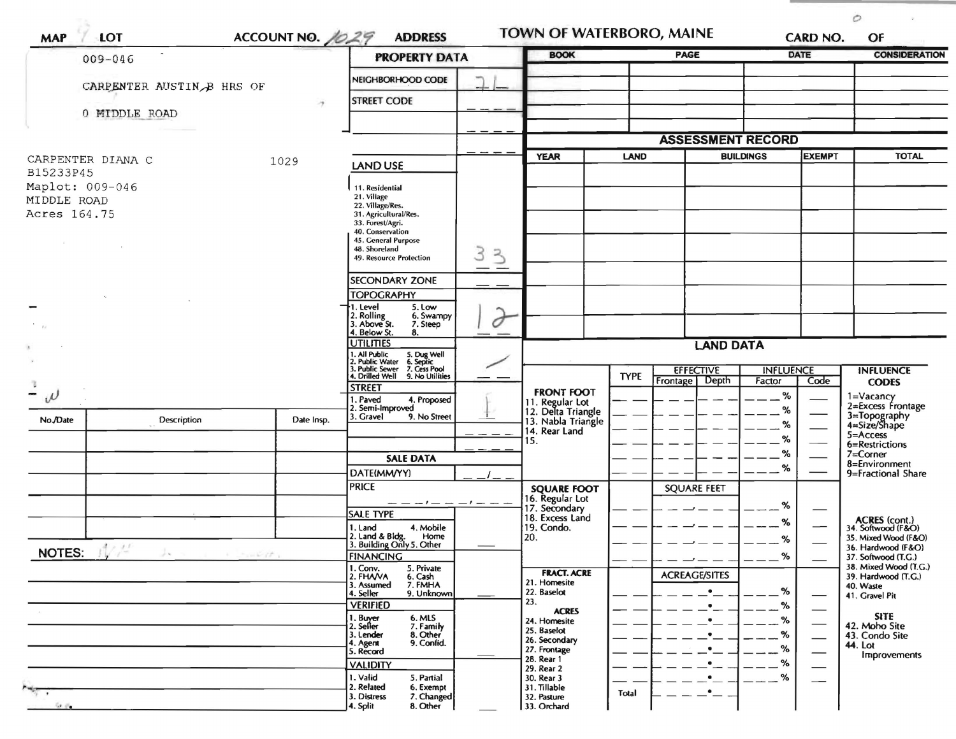| $009 - 046$                                    |                                       |            | <b>PROPERTY DATA</b>                                                                                                                       |        | <b>BOOK</b>                                                                  |             | <b>PAGE</b>                        | <b>DATE</b>                        |      | <b>CONSIDERATION</b>                                                      |
|------------------------------------------------|---------------------------------------|------------|--------------------------------------------------------------------------------------------------------------------------------------------|--------|------------------------------------------------------------------------------|-------------|------------------------------------|------------------------------------|------|---------------------------------------------------------------------------|
| CARPENTER AUSTIN B HRS OF<br>$\gamma$          |                                       |            | NEIGHBORHOOD CODE                                                                                                                          |        |                                                                              |             |                                    |                                    |      |                                                                           |
|                                                |                                       |            | <b>STREET CODE</b>                                                                                                                         |        |                                                                              |             |                                    |                                    |      |                                                                           |
| 0 MIDDLE ROAD                                  |                                       |            |                                                                                                                                            |        |                                                                              |             |                                    |                                    |      |                                                                           |
|                                                |                                       |            |                                                                                                                                            |        |                                                                              |             | <b>ASSESSMENT RECORD</b>           |                                    |      |                                                                           |
| CARPENTER DIANA C<br>B15233P45                 | 1029                                  |            | <b>LAND USE</b>                                                                                                                            |        | <b>YEAR</b>                                                                  | LAND        |                                    | <b>BUILDINGS</b><br><b>EXEMPT</b>  |      | <b>TOTAL</b>                                                              |
| Maplot: 009-046<br>MIDDLE ROAD<br>Acres 164.75 |                                       |            | 11. Residential<br>21. Village<br>22. Village/Res.<br>31. Agricultural/Res.<br>33. Forest/Agri.<br>40. Conservation<br>45. General Purpose |        |                                                                              |             |                                    |                                    |      |                                                                           |
|                                                |                                       |            | 48. Shoreland<br>49. Resource Protection                                                                                                   | 3<br>3 |                                                                              |             |                                    |                                    |      |                                                                           |
|                                                |                                       |            | <b>SECONDARY ZONE</b>                                                                                                                      |        |                                                                              |             |                                    |                                    |      |                                                                           |
|                                                |                                       |            | <b>TOPOGRAPHY</b><br>1. Level<br>5. Low<br>2. Rolling<br>3. Above St.<br>6. Swampy<br>7. Steep                                             | 0      |                                                                              |             |                                    |                                    |      |                                                                           |
|                                                |                                       |            | 4. Below St.<br>8.<br><b>UTILITIES</b>                                                                                                     |        |                                                                              |             | <b>LAND DATA</b>                   |                                    |      |                                                                           |
|                                                |                                       |            | I. All Public<br>?. Public Water<br>5. Dug Well<br>6. Septic                                                                               |        |                                                                              |             |                                    |                                    |      |                                                                           |
| -                                              |                                       |            | . Public Sewer<br>7. Cess Pool<br>4. Drilled Well<br>9. No Utilities<br><b>STREET</b>                                                      |        | <b>FRONT FOOT</b>                                                            | <b>TYPE</b> | <b>EFFECTIVE</b><br>Frontage Depth | <b>INFLUENCE</b><br>Factor<br>$\%$ | Code | <b>INFLUENCE</b><br><b>CODES</b><br>$1 = Vacancy$                         |
| $\omega$                                       |                                       |            | I. Paved<br>4. Proposed<br>2. Semi-Improved                                                                                                |        | 11. Regular Lot<br>12. Delta Triangle                                        |             |                                    | %                                  |      | 2=Excess Frontage                                                         |
| No./Date                                       | Description                           | Date Insp. | 3. Gravel<br>9. No Street                                                                                                                  |        | 13. Nabla Triangle<br>14. Rear Land<br>15.                                   |             |                                    | %<br>%                             |      | 3=Topography<br>4=Size/Shape<br>5=Access                                  |
|                                                |                                       |            | <b>SALE DATA</b>                                                                                                                           |        |                                                                              |             |                                    | %                                  |      | 6=Restrictions<br>$7 =$ Corner                                            |
|                                                |                                       |            | DATE(MM/YY)                                                                                                                                |        |                                                                              |             |                                    | %                                  |      | 8=Environment<br>9=Fractional Share                                       |
|                                                |                                       |            | <b>PRICE</b><br>_ _ _ _ _                                                                                                                  |        | <b>SOUARE FOOT</b><br>16. Regular Lot                                        |             | <b>SQUARE FEET</b>                 |                                    |      |                                                                           |
|                                                |                                       |            | <b>SALE TYPE</b>                                                                                                                           |        | 17. Secondary<br>18. Excess Land                                             |             |                                    | %<br>%                             |      |                                                                           |
|                                                |                                       |            | 1. Land<br>4. Mobile<br>2. Land & Bldg.<br>Home                                                                                            |        | 19. Condo.<br>20.                                                            |             |                                    | %                                  |      | ACRES (cont.)<br>34. Softwood (F&O)<br>35. Mixed Wood (F&O)               |
| NOTES: NA                                      | $\mathcal{F}^{\mathcal{M}}$<br>mar 17 |            | 3. Building Only 5. Other<br><b>FINANCING</b>                                                                                              |        |                                                                              |             |                                    | %                                  |      | 36. Hardwood (F&O)<br>37. Softwood (T.G.)                                 |
|                                                |                                       |            | 1. Conv.<br>5. Private<br>2. FHAVA<br>6. Cash<br>3. Assumed<br>7. FMHA                                                                     |        | <b>FRACT. ACRE</b><br>21. Homesite<br>22. Baselot                            |             | <b>ACREAGE/SITES</b>               | %                                  |      | 38. Mixed Wood (T.G.)<br>39. Hardwood (T.G.)<br>40. Waste                 |
|                                                |                                       |            | 4. Seller<br>9. Unknown<br><b>VERIFIED</b>                                                                                                 |        | 23.                                                                          |             |                                    | %                                  |      | 41. Gravel Pit                                                            |
|                                                |                                       |            | 1. Buyer<br>2. Seller<br>6. MLS<br>7. Family<br>8. Other<br>3. Lender<br>9. Confid.<br>4. Agent<br>5. Record                               |        | <b>ACRES</b><br>24. Homesite<br>25. Baselot<br>26. Secondary<br>27. Frontage |             |                                    | %<br>%<br>%                        |      | <b>SITE</b><br>42. Moho Site<br>43. Condo Site<br>44. Lot<br>Improvements |
|                                                |                                       |            | <b>VALIDITY</b>                                                                                                                            |        | 28. Rear 1<br>29. Rear 2                                                     |             |                                    | %                                  |      |                                                                           |
| 50.66                                          |                                       |            | 1. Valid<br>5. Partial<br>2. Related<br>6. Exempt<br>3. Distress<br>7. Changed<br>4. Split<br>8. Other                                     |        | 30. Rear 3<br>31. Tillable<br>32. Pasture<br>33. Orchard                     | Total       |                                    | %                                  |      |                                                                           |